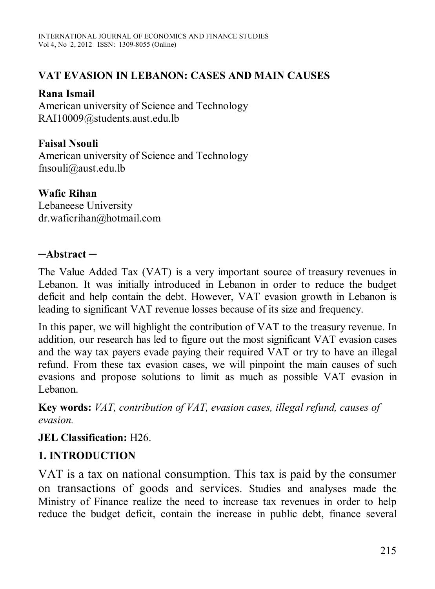#### **VAT EVASION IN LEBANON: CASES AND MAIN CAUSES**

#### **Rana Ismail**

American university of Science and Technology RAI10009@students.aust.edu.lb

## **Faisal Nsouli**

American university of Science and Technology fnsouli@aust.edu.lb

#### **Wafic Rihan**

Lebaneese University dr.waficrihan@hotmail.com

#### **─Abstract ─**

The Value Added Tax (VAT) is a very important source of treasury revenues in Lebanon. It was initially introduced in Lebanon in order to reduce the budget deficit and help contain the debt. However, VAT evasion growth in Lebanon is leading to significant VAT revenue losses because of its size and frequency.

In this paper, we will highlight the contribution of VAT to the treasury revenue. In addition, our research has led to figure out the most significant VAT evasion cases and the way tax payers evade paying their required VAT or try to have an illegal refund. From these tax evasion cases, we will pinpoint the main causes of such evasions and propose solutions to limit as much as possible VAT evasion in Lebanon.

**Key words:** *VAT, contribution of VAT, evasion cases, illegal refund, causes of evasion.*

#### **JEL Classification:** H26.

# **1. INTRODUCTION**

VAT is a tax on national consumption. This tax is paid by the consumer on transactions of goods and services. Studies and analyses made the Ministry of Finance realize the need to increase tax revenues in order to help reduce the budget deficit, contain the increase in public debt, finance several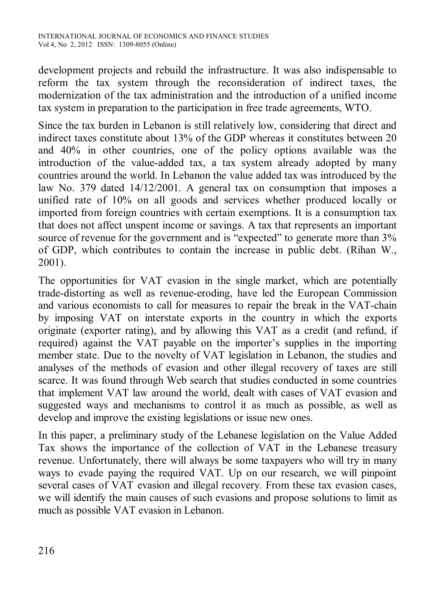development projects and rebuild the infrastructure. It was also indispensable to reform the tax system through the reconsideration of indirect taxes, the modernization of the tax administration and the introduction of a unified income tax system in preparation to the participation in free trade agreements, WTO.

Since the tax burden in Lebanon is still relatively low, considering that direct and indirect taxes constitute about 13% of the GDP whereas it constitutes between 20 and 40% in other countries, one of the policy options available was the introduction of the value-added tax, a tax system already adopted by many countries around the world. In Lebanon the value added tax was introduced by the law No. 379 dated 14/12/2001. A general tax on consumption that imposes a unified rate of 10% on all goods and services whether produced locally or imported from foreign countries with certain exemptions. It is a consumption tax that does not affect unspent income or savings. A tax that represents an important source of revenue for the government and is "expected" to generate more than  $3\%$ of GDP, which contributes to contain the increase in public debt. (Rihan W., 2001).

The opportunities for VAT evasion in the single market, which are potentially trade-distorting as well as revenue-eroding, have led the European Commission and various economists to call for measures to repair the break in the VAT-chain by imposing VAT on interstate exports in the country in which the exports originate (exporter rating), and by allowing this VAT as a credit (and refund, if required) against the VAT payable on the importer's supplies in the importing member state. Due to the novelty of VAT legislation in Lebanon, the studies and analyses of the methods of evasion and other illegal recovery of taxes are still scarce. It was found through Web search that studies conducted in some countries that implement VAT law around the world, dealt with cases of VAT evasion and suggested ways and mechanisms to control it as much as possible, as well as develop and improve the existing legislations or issue new ones.

In this paper, a preliminary study of the Lebanese legislation on the Value Added Tax shows the importance of the collection of VAT in the Lebanese treasury revenue. Unfortunately, there will always be some taxpayers who will try in many ways to evade paying the required VAT. Up on our research, we will pinpoint several cases of VAT evasion and illegal recovery. From these tax evasion cases, we will identify the main causes of such evasions and propose solutions to limit as much as possible VAT evasion in Lebanon.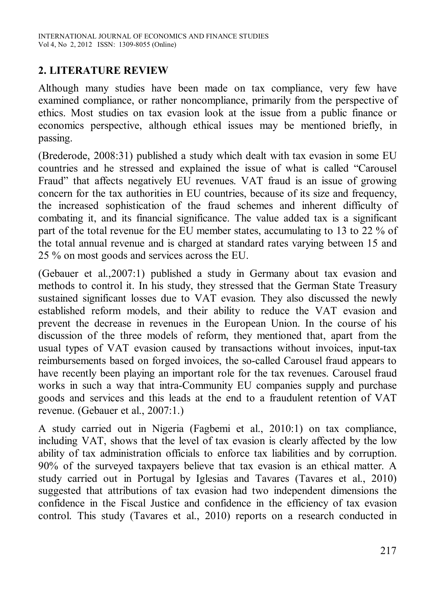## **2. LITERATURE REVIEW**

Although many studies have been made on tax compliance, very few have examined compliance, or rather noncompliance, primarily from the perspective of ethics. Most studies on tax evasion look at the issue from a public finance or economics perspective, although ethical issues may be mentioned briefly, in passing.

(Brederode, 2008:31) published a study which dealt with tax evasion in some EU countries and he stressed and explained the issue of what is called "Carousel Fraud" that affects negatively EU revenues. VAT fraud is an issue of growing concern for the tax authorities in EU countries, because of its size and frequency, the increased sophistication of the fraud schemes and inherent difficulty of combating it, and its financial significance. The value added tax is a significant part of the total revenue for the EU member states, accumulating to 13 to 22 % of the total annual revenue and is charged at standard rates varying between 15 and 25 % on most goods and services across the EU.

(Gebauer et al.,2007:1) published a study in Germany about tax evasion and methods to control it. In his study, they stressed that the German State Treasury sustained significant losses due to VAT evasion. They also discussed the newly established reform models, and their ability to reduce the VAT evasion and prevent the decrease in revenues in the European Union. In the course of his discussion of the three models of reform, they mentioned that, apart from the usual types of VAT evasion caused by transactions without invoices, input-tax reimbursements based on forged invoices, the so-called Carousel fraud appears to have recently been playing an important role for the tax revenues. Carousel fraud works in such a way that intra-Community EU companies supply and purchase goods and services and this leads at the end to a fraudulent retention of VAT revenue. (Gebauer et al., 2007:1.)

A study carried out in Nigeria (Fagbemi et al., 2010:1) on tax compliance, including VAT, shows that the level of tax evasion is clearly affected by the low ability of tax administration officials to enforce tax liabilities and by corruption. 90% of the surveyed taxpayers believe that tax evasion is an ethical matter. A study carried out in Portugal by Iglesias and Tavares (Tavares et al., 2010) suggested that attributions of tax evasion had two independent dimensions the confidence in the Fiscal Justice and confidence in the efficiency of tax evasion control. This study (Tavares et al., 2010) reports on a research conducted in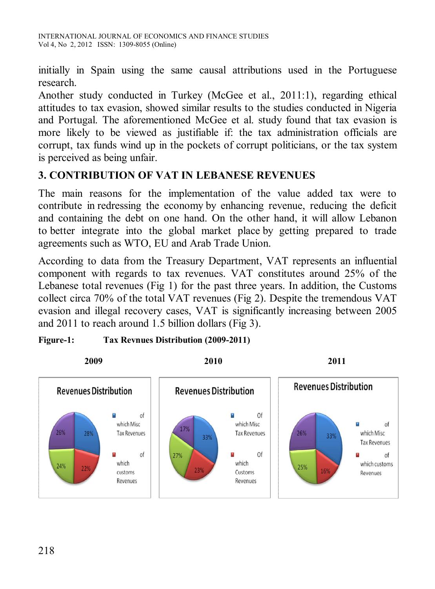initially in Spain using the same causal attributions used in the Portuguese research.

Another study conducted in Turkey (McGee et al., 2011:1), regarding ethical attitudes to tax evasion, showed similar results to the studies conducted in Nigeria and Portugal. The aforementioned McGee et al. study found that tax evasion is more likely to be viewed as justifiable if: the tax administration officials are corrupt, tax funds wind up in the pockets of corrupt politicians, or the tax system is perceived as being unfair.

#### **3. CONTRIBUTION OF VAT IN LEBANESE REVENUES**

The main reasons for the implementation of the value added tax were to contribute in redressing the economy by enhancing revenue, reducing the deficit and containing the debt on one hand. On the other hand, it will allow Lebanon to better integrate into the global market place by getting prepared to trade agreements such as WTO, EU and Arab Trade Union.

According to data from the Treasury Department, VAT represents an influential component with regards to tax revenues. VAT constitutes around 25% of the Lebanese total revenues (Fig 1) for the past three years. In addition, the Customs collect circa 70% of the total VAT revenues (Fig 2). Despite the tremendous VAT evasion and illegal recovery cases, VAT is significantly increasing between 2005 and 2011 to reach around 1.5 billion dollars (Fig 3).



#### **Figure-1: Tax Revnues Distribution (2009-2011)**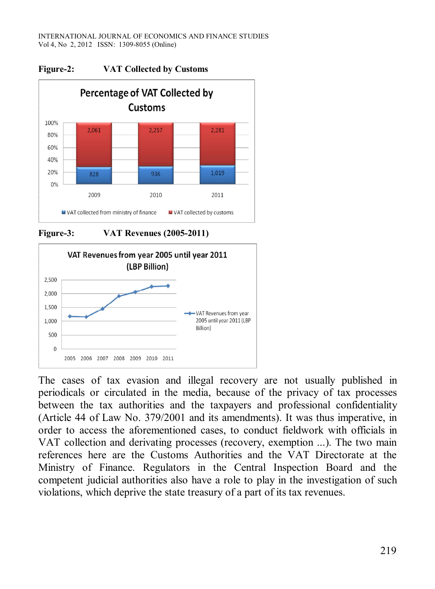

**Figure-2: VAT Collected by Customs**





The cases of tax evasion and illegal recovery are not usually published in periodicals or circulated in the media, because of the privacy of tax processes between the tax authorities and the taxpayers and professional confidentiality (Article 44 of Law No. 379/2001 and its amendments). It was thus imperative, in order to access the aforementioned cases, to conduct fieldwork with officials in VAT collection and derivating processes (recovery, exemption ...). The two main references here are the Customs Authorities and the VAT Directorate at the Ministry of Finance. Regulators in the Central Inspection Board and the competent judicial authorities also have a role to play in the investigation of such violations, which deprive the state treasury of a part of its tax revenues.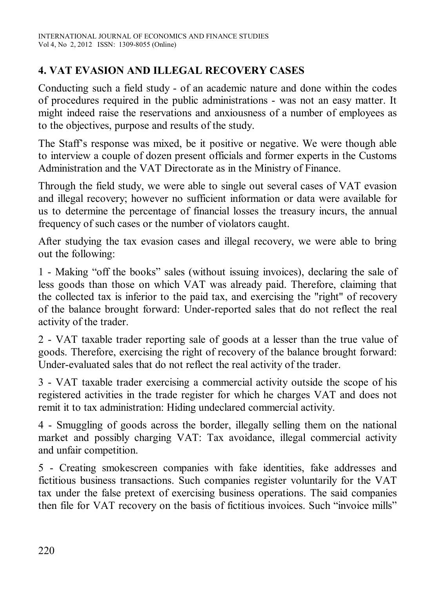# **4. VAT EVASION AND ILLEGAL RECOVERY CASES**

Conducting such a field study - of an academic nature and done within the codes of procedures required in the public administrations - was not an easy matter. It might indeed raise the reservations and anxiousness of a number of employees as to the objectives, purpose and results of the study.

The Staff's response was mixed, be it positive or negative. We were though able to interview a couple of dozen present officials and former experts in the Customs Administration and the VAT Directorate as in the Ministry of Finance.

Through the field study, we were able to single out several cases of VAT evasion and illegal recovery; however no sufficient information or data were available for us to determine the percentage of financial losses the treasury incurs, the annual frequency of such cases or the number of violators caught.

After studying the tax evasion cases and illegal recovery, we were able to bring out the following:

1 - Making "off the books" sales (without issuing invoices), declaring the sale of less goods than those on which VAT was already paid. Therefore, claiming that the collected tax is inferior to the paid tax, and exercising the "right" of recovery of the balance brought forward: Under-reported sales that do not reflect the real activity of the trader.

2 - VAT taxable trader reporting sale of goods at a lesser than the true value of goods. Therefore, exercising the right of recovery of the balance brought forward: Under-evaluated sales that do not reflect the real activity of the trader.

3 - VAT taxable trader exercising a commercial activity outside the scope of his registered activities in the trade register for which he charges VAT and does not remit it to tax administration: Hiding undeclared commercial activity.

4 - Smuggling of goods across the border, illegally selling them on the national market and possibly charging VAT: Tax avoidance, illegal commercial activity and unfair competition.

5 - Creating smokescreen companies with fake identities, fake addresses and fictitious business transactions. Such companies register voluntarily for the VAT tax under the false pretext of exercising business operations. The said companies then file for VAT recovery on the basis of fictitious invoices. Such "invoice mills"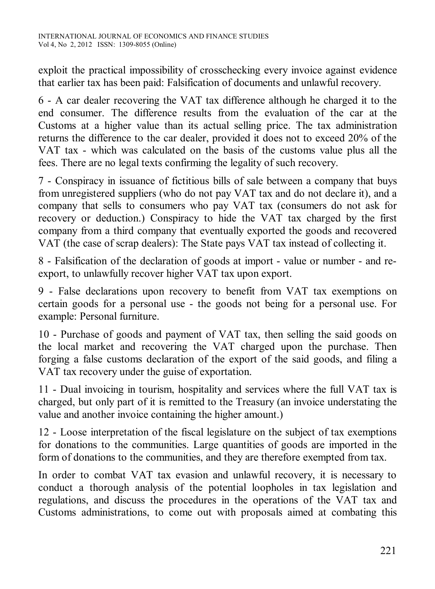exploit the practical impossibility of crosschecking every invoice against evidence that earlier tax has been paid: Falsification of documents and unlawful recovery.

6 - A car dealer recovering the VAT tax difference although he charged it to the end consumer. The difference results from the evaluation of the car at the Customs at a higher value than its actual selling price. The tax administration returns the difference to the car dealer, provided it does not to exceed 20% of the VAT tax - which was calculated on the basis of the customs value plus all the fees. There are no legal texts confirming the legality of such recovery.

7 - Conspiracy in issuance of fictitious bills of sale between a company that buys from unregistered suppliers (who do not pay VAT tax and do not declare it), and a company that sells to consumers who pay VAT tax (consumers do not ask for recovery or deduction.) Conspiracy to hide the VAT tax charged by the first company from a third company that eventually exported the goods and recovered VAT (the case of scrap dealers): The State pays VAT tax instead of collecting it.

8 - Falsification of the declaration of goods at import - value or number - and reexport, to unlawfully recover higher VAT tax upon export.

9 - False declarations upon recovery to benefit from VAT tax exemptions on certain goods for a personal use - the goods not being for a personal use. For example: Personal furniture.

10 - Purchase of goods and payment of VAT tax, then selling the said goods on the local market and recovering the VAT charged upon the purchase. Then forging a false customs declaration of the export of the said goods, and filing a VAT tax recovery under the guise of exportation.

11 - Dual invoicing in tourism, hospitality and services where the full VAT tax is charged, but only part of it is remitted to the Treasury (an invoice understating the value and another invoice containing the higher amount.)

12 - Loose interpretation of the fiscal legislature on the subject of tax exemptions for donations to the communities. Large quantities of goods are imported in the form of donations to the communities, and they are therefore exempted from tax.

In order to combat VAT tax evasion and unlawful recovery, it is necessary to conduct a thorough analysis of the potential loopholes in tax legislation and regulations, and discuss the procedures in the operations of the VAT tax and Customs administrations, to come out with proposals aimed at combating this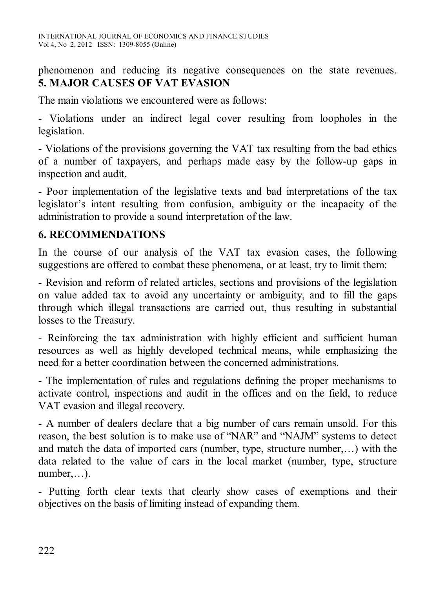phenomenon and reducing its negative consequences on the state revenues. **5. MAJOR CAUSES OF VAT EVASION** 

The main violations we encountered were as follows:

- Violations under an indirect legal cover resulting from loopholes in the legislation.

- Violations of the provisions governing the VAT tax resulting from the bad ethics of a number of taxpayers, and perhaps made easy by the follow-up gaps in inspection and audit.

- Poor implementation of the legislative texts and bad interpretations of the tax legislator's intent resulting from confusion, ambiguity or the incapacity of the administration to provide a sound interpretation of the law.

## **6. RECOMMENDATIONS**

In the course of our analysis of the VAT tax evasion cases, the following suggestions are offered to combat these phenomena, or at least, try to limit them:

- Revision and reform of related articles, sections and provisions of the legislation on value added tax to avoid any uncertainty or ambiguity, and to fill the gaps through which illegal transactions are carried out, thus resulting in substantial losses to the Treasury.

- Reinforcing the tax administration with highly efficient and sufficient human resources as well as highly developed technical means, while emphasizing the need for a better coordination between the concerned administrations.

- The implementation of rules and regulations defining the proper mechanisms to activate control, inspections and audit in the offices and on the field, to reduce VAT evasion and illegal recovery.

- A number of dealers declare that a big number of cars remain unsold. For this reason, the best solution is to make use of "NAR" and "NAJM" systems to detect and match the data of imported cars (number, type, structure number,…) with the data related to the value of cars in the local market (number, type, structure number,…).

- Putting forth clear texts that clearly show cases of exemptions and their objectives on the basis of limiting instead of expanding them.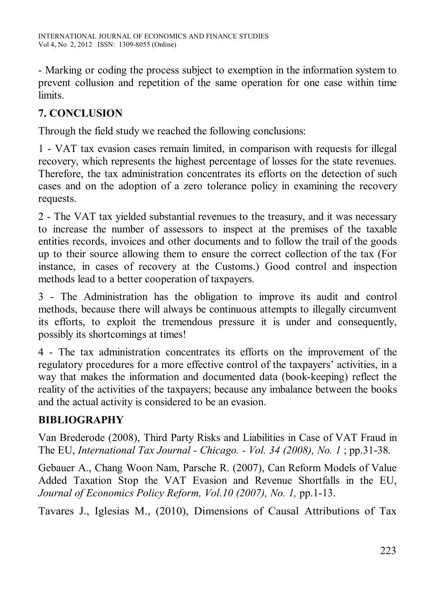- Marking or coding the process subject to exemption in the information system to prevent collusion and repetition of the same operation for one case within time limits.

# **7. CONCLUSION**

Through the field study we reached the following conclusions:

1 - VAT tax evasion cases remain limited, in comparison with requests for illegal recovery, which represents the highest percentage of losses for the state revenues. Therefore, the tax administration concentrates its efforts on the detection of such cases and on the adoption of a zero tolerance policy in examining the recovery requests.

2 - The VAT tax yielded substantial revenues to the treasury, and it was necessary to increase the number of assessors to inspect at the premises of the taxable entities records, invoices and other documents and to follow the trail of the goods up to their source allowing them to ensure the correct collection of the tax (For instance, in cases of recovery at the Customs.) Good control and inspection methods lead to a better cooperation of taxpayers.

3 - The Administration has the obligation to improve its audit and control methods, because there will always be continuous attempts to illegally circumvent its efforts, to exploit the tremendous pressure it is under and consequently, possibly its shortcomings at times!

4 - The tax administration concentrates its efforts on the improvement of the regulatory procedures for a more effective control of the taxpayers' activities, in a way that makes the information and documented data (book-keeping) reflect the reality of the activities of the taxpayers; because any imbalance between the books and the actual activity is considered to be an evasion.

# **BIBLIOGRAPHY**

Van Brederode (2008), Third Party Risks and Liabilities in Case of VAT Fraud in The EU, *International Tax Journal - Chicago. - Vol. 34 (2008), No. 1* ; pp.31-38*.*

Gebauer A., Chang Woon Nam, Parsche R. (2007), Can Reform Models of Value Added Taxation Stop the VAT Evasion and Revenue Shortfalls in the EU, *Journal of Economics Policy Reform, Vol.10 (2007), No. 1,* pp.1-13.

Tavares J., Iglesias M., (2010), Dimensions of Causal Attributions of Tax